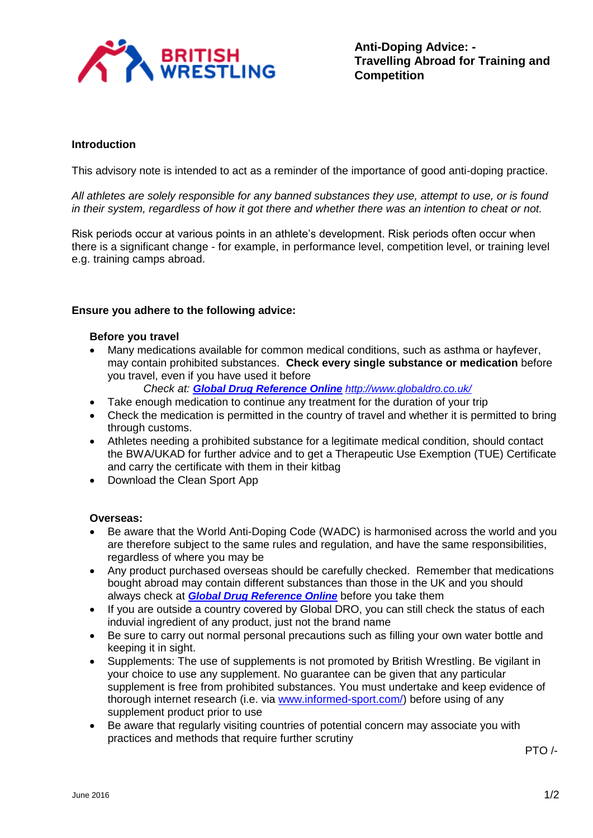

**Anti-Doping Advice: - Travelling Abroad for Training and Competition**

# **Introduction**

This advisory note is intended to act as a reminder of the importance of good anti-doping practice.

*All athletes are solely responsible for any banned substances they use, attempt to use, or is found in their system, regardless of how it got there and whether there was an intention to cheat or not.*

Risk periods occur at various points in an athlete's development. Risk periods often occur when there is a significant change - for example, in performance level, competition level, or training level e.g. training camps abroad.

## **Ensure you adhere to the following advice:**

## **Before you travel**

- Many medications available for common medical conditions, such as asthma or hayfever, may contain prohibited substances. **Check every single substance or medication** before you travel, even if you have used it before
	- *Check at: [Global Drug Reference Online](http://www.globaldro.co.uk/) <http://www.globaldro.co.uk/>*
- Take enough medication to continue any treatment for the duration of your trip
- Check the medication is permitted in the country of travel and whether it is permitted to bring through customs.
- Athletes needing a prohibited substance for a legitimate medical condition, should contact the BWA/UKAD for further advice and to get a Therapeutic Use Exemption (TUE) Certificate and carry the certificate with them in their kitbag
- Download the Clean Sport App

## **Overseas:**

- Be aware that the World Anti-Doping Code (WADC) is harmonised across the world and you are therefore subject to the same rules and regulation, and have the same responsibilities, regardless of where you may be
- Any product purchased overseas should be carefully checked. Remember that medications bought abroad may contain different substances than those in the UK and you should always check at *[Global Drug Reference Online](http://www.globaldro.co.uk/)* before you take them
- If you are outside a country covered by Global DRO, you can still check the status of each induvial ingredient of any product, just not the brand name
- Be sure to carry out normal personal precautions such as filling your own water bottle and keeping it in sight.
- Supplements: The use of supplements is not promoted by British Wrestling. Be vigilant in your choice to use any supplement. No guarantee can be given that any particular supplement is free from prohibited substances. You must undertake and keep evidence of thorough internet research (i.e. via [www.informed-sport.com/\)](http://www.informed-sport.com/) before using of any supplement product prior to use
- Be aware that regularly visiting countries of potential concern may associate you with practices and methods that require further scrutiny

PTO /-